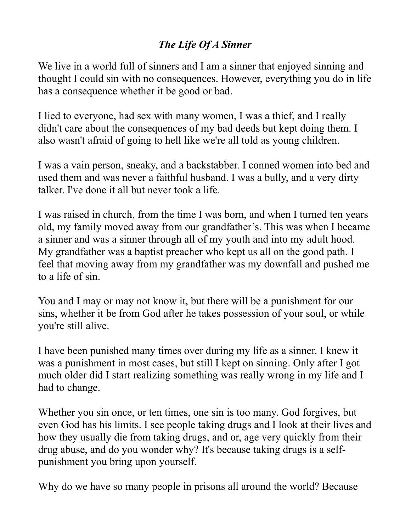## *The Life Of A Sinner*

We live in a world full of sinners and I am a sinner that enjoyed sinning and thought I could sin with no consequences. However, everything you do in life has a consequence whether it be good or bad.

I lied to everyone, had sex with many women, I was a thief, and I really didn't care about the consequences of my bad deeds but kept doing them. I also wasn't afraid of going to hell like we're all told as young children.

I was a vain person, sneaky, and a backstabber. I conned women into bed and used them and was never a faithful husband. I was a bully, and a very dirty talker. I've done it all but never took a life.

I was raised in church, from the time I was born, and when I turned ten years old, my family moved away from our grandfather's. This was when I became a sinner and was a sinner through all of my youth and into my adult hood. My grandfather was a baptist preacher who kept us all on the good path. I feel that moving away from my grandfather was my downfall and pushed me to a life of sin.

You and I may or may not know it, but there will be a punishment for our sins, whether it be from God after he takes possession of your soul, or while you're still alive.

I have been punished many times over during my life as a sinner. I knew it was a punishment in most cases, but still I kept on sinning. Only after I got much older did I start realizing something was really wrong in my life and I had to change.

Whether you sin once, or ten times, one sin is too many. God forgives, but even God has his limits. I see people taking drugs and I look at their lives and how they usually die from taking drugs, and or, age very quickly from their drug abuse, and do you wonder why? It's because taking drugs is a selfpunishment you bring upon yourself.

Why do we have so many people in prisons all around the world? Because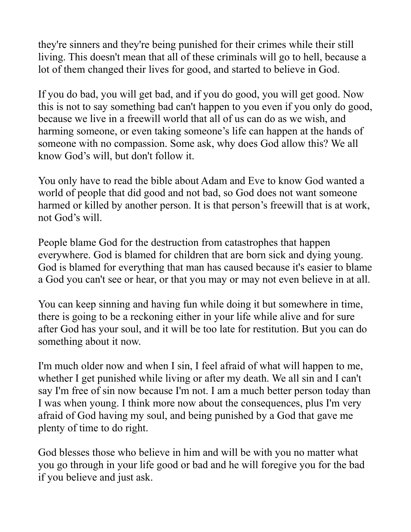they're sinners and they're being punished for their crimes while their still living. This doesn't mean that all of these criminals will go to hell, because a lot of them changed their lives for good, and started to believe in God.

If you do bad, you will get bad, and if you do good, you will get good. Now this is not to say something bad can't happen to you even if you only do good, because we live in a freewill world that all of us can do as we wish, and harming someone, or even taking someone's life can happen at the hands of someone with no compassion. Some ask, why does God allow this? We all know God's will, but don't follow it.

You only have to read the bible about Adam and Eve to know God wanted a world of people that did good and not bad, so God does not want someone harmed or killed by another person. It is that person's freewill that is at work, not God's will.

People blame God for the destruction from catastrophes that happen everywhere. God is blamed for children that are born sick and dying young. God is blamed for everything that man has caused because it's easier to blame a God you can't see or hear, or that you may or may not even believe in at all.

You can keep sinning and having fun while doing it but somewhere in time, there is going to be a reckoning either in your life while alive and for sure after God has your soul, and it will be too late for restitution. But you can do something about it now.

I'm much older now and when I sin, I feel afraid of what will happen to me, whether I get punished while living or after my death. We all sin and I can't say I'm free of sin now because I'm not. I am a much better person today than I was when young. I think more now about the consequences, plus I'm very afraid of God having my soul, and being punished by a God that gave me plenty of time to do right.

God blesses those who believe in him and will be with you no matter what you go through in your life good or bad and he will foregive you for the bad if you believe and just ask.